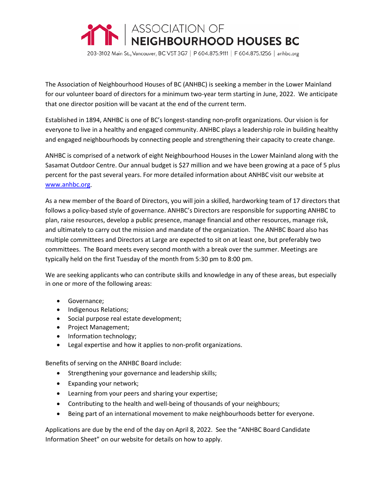

203-3102 Main St., Vancouver, BC V5T 3G7 | P 604.875.9111 | F 604.875.1256 | anhbc.org

The Association of Neighbourhood Houses of BC (ANHBC) is seeking a member in the Lower Mainland for our volunteer board of directors for a minimum two-year term starting in June, 2022. We anticipate that one director position will be vacant at the end of the current term.

Established in 1894, ANHBC is one of BC's longest-standing non-profit organizations. Our vision is for everyone to live in a healthy and engaged community. ANHBC plays a leadership role in building healthy and engaged neighbourhoods by connecting people and strengthening their capacity to create change.

ANHBC is comprised of a network of eight Neighbourhood Houses in the Lower Mainland along with the Sasamat Outdoor Centre. Our annual budget is \$27 million and we have been growing at a pace of 5 plus percent for the past several years. For more detailed information about ANHBC visit our website at [www.anhbc.org.](http://www.anhbc.org/)

As a new member of the Board of Directors, you will join a skilled, hardworking team of 17 directors that follows a policy-based style of governance. ANHBC's Directors are responsible for supporting ANHBC to plan, raise resources, develop a public presence, manage financial and other resources, manage risk, and ultimately to carry out the mission and mandate of the organization. The ANHBC Board also has multiple committees and Directors at Large are expected to sit on at least one, but preferably two committees. The Board meets every second month with a break over the summer. Meetings are typically held on the first Tuesday of the month from 5:30 pm to 8:00 pm.

We are seeking applicants who can contribute skills and knowledge in any of these areas, but especially in one or more of the following areas:

- Governance;
- Indigenous Relations;
- Social purpose real estate development;
- Project Management;
- Information technology;
- Legal expertise and how it applies to non-profit organizations.

Benefits of serving on the ANHBC Board include:

- Strengthening your governance and leadership skills;
- Expanding your network;
- Learning from your peers and sharing your expertise;
- Contributing to the health and well-being of thousands of your neighbours;
- Being part of an international movement to make neighbourhoods better for everyone.

Applications are due by the end of the day on April 8, 2022. See the "ANHBC Board Candidate Information Sheet" on our website for details on how to apply.